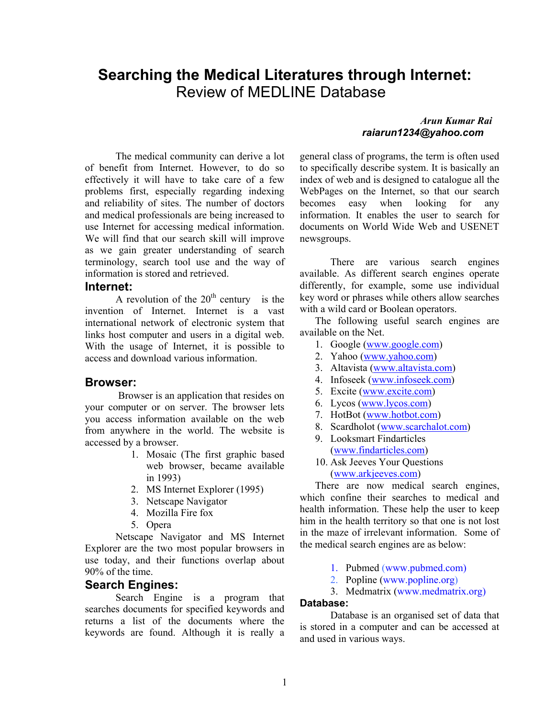# **Searching the Medical Literatures through Internet:**  Review of MEDLINE Database

The medical community can derive a lot of benefit from Internet. However, to do so effectively it will have to take care of a few problems first, especially regarding indexing and reliability of sites. The number of doctors and medical professionals are being increased to use Internet for accessing medical information. We will find that our search skill will improve as we gain greater understanding of search terminology, search tool use and the way of information is stored and retrieved.

### **Internet:**

A revolution of the  $20<sup>th</sup>$  century is the invention of Internet. Internet is a vast international network of electronic system that links host computer and users in a digital web. With the usage of Internet, it is possible to access and download various information.

#### **Browser:**

Browser is an application that resides on your computer or on server. The browser lets you access information available on the web from anywhere in the world. The website is accessed by a browser.

- 1. Mosaic (The first graphic based web browser, became available in 1993)
- 2. MS Internet Explorer (1995)
- 3. Netscape Navigator
- 4. Mozilla Fire fox
- 5. Opera

Netscape Navigator and MS Internet Explorer are the two most popular browsers in use today, and their functions overlap about 90% of the time.

### **Search Engines:**

Search Engine is a program that searches documents for specified keywords and returns a list of the documents where the keywords are found. Although it is really a

### *Arun Kumar Rai raiarun1234@yahoo.com*

general class of programs, the term is often used to specifically describe system. It is basically an index of web and is designed to catalogue all the WebPages on the Internet, so that our search becomes easy when looking for any information. It enables the user to search for documents on World Wide Web and USENET newsgroups.

 There are various search engines available. As different search engines operate differently, for example, some use individual key word or phrases while others allow searches with a wild card or Boolean operators.

The following useful search engines are available on the Net.

- 1. Google (www.google.com)
- 2. Yahoo (www.yahoo.com)
- 3. Altavista (www.altavista.com)
- 4. Infoseek (www.infoseek.com)
- 5. Excite (www.excite.com)
- 6. Lycos (www.lycos.com)
- 7. HotBot (www.hotbot.com)
- 8. Scardholot (www.scarchalot.com)
- 9. Looksmart Findarticles (www.findarticles.com)
- 10. Ask Jeeves Your Questions (www.arkjeeves.com)

There are now medical search engines, which confine their searches to medical and health information. These help the user to keep him in the health territory so that one is not lost in the maze of irrelevant information. Some of the medical search engines are as below:

- 1. Pubmed (www.pubmed.com)
- 2. Popline (www.popline.org)
- 3. Medmatrix (www.medmatrix.org)

### **Database:**

Database is an organised set of data that is stored in a computer and can be accessed at and used in various ways.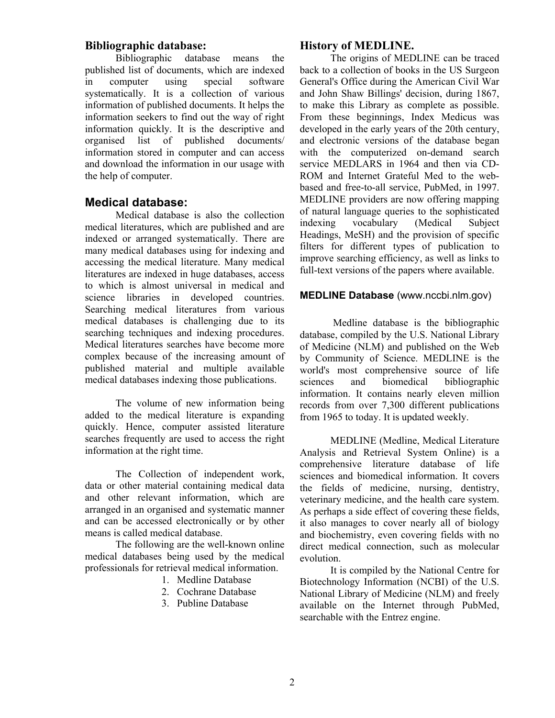### **Bibliographic database:**

Bibliographic database means the published list of documents, which are indexed in computer using special software systematically. It is a collection of various information of published documents. It helps the information seekers to find out the way of right information quickly. It is the descriptive and organised list of published documents/ information stored in computer and can access and download the information in our usage with the help of computer.

### **Medical database:**

Medical database is also the collection medical literatures, which are published and are indexed or arranged systematically. There are many medical databases using for indexing and accessing the medical literature. Many medical literatures are indexed in huge databases, access to which is almost universal in medical and science libraries in developed countries. Searching medical literatures from various medical databases is challenging due to its searching techniques and indexing procedures. Medical literatures searches have become more complex because of the increasing amount of published material and multiple available medical databases indexing those publications.

The volume of new information being added to the medical literature is expanding quickly. Hence, computer assisted literature searches frequently are used to access the right information at the right time.

The Collection of independent work, data or other material containing medical data and other relevant information, which are arranged in an organised and systematic manner and can be accessed electronically or by other means is called medical database.

The following are the well-known online medical databases being used by the medical professionals for retrieval medical information.

- 1. Medline Database
- 2. Cochrane Database
- 3. Publine Database

### **History of MEDLINE.**

The origins of MEDLINE can be traced back to a collection of books in the US Surgeon General's Office during the American Civil War and John Shaw Billings' decision, during 1867, to make this Library as complete as possible. From these beginnings, Index Medicus was developed in the early years of the 20th century, and electronic versions of the database began with the computerized on-demand search service MEDLARS in 1964 and then via CD-ROM and Internet Grateful Med to the webbased and free-to-all service, PubMed, in 1997. MEDLINE providers are now offering mapping of natural language queries to the sophisticated indexing vocabulary (Medical Subject Headings, MeSH) and the provision of specific filters for different types of publication to improve searching efficiency, as well as links to full-text versions of the papers where available.

### **MEDLINE Database** (www.nccbi.nlm.gov)

 Medline database is the bibliographic database, compiled by the U.S. National Library of Medicine (NLM) and published on the Web by Community of Science. MEDLINE is the world's most comprehensive source of life sciences and biomedical bibliographic information. It contains nearly eleven million records from over 7,300 different publications from 1965 to today. It is updated weekly.

MEDLINE (Medline, Medical Literature Analysis and Retrieval System Online) is a comprehensive literature database of life sciences and biomedical information. It covers the fields of medicine, nursing, dentistry, veterinary medicine, and the health care system. As perhaps a side effect of covering these fields, it also manages to cover nearly all of biology and biochemistry, even covering fields with no direct medical connection, such as molecular evolution.

It is compiled by the National Centre for Biotechnology Information (NCBI) of the U.S. National Library of Medicine (NLM) and freely available on the Internet through PubMed, searchable with the Entrez engine.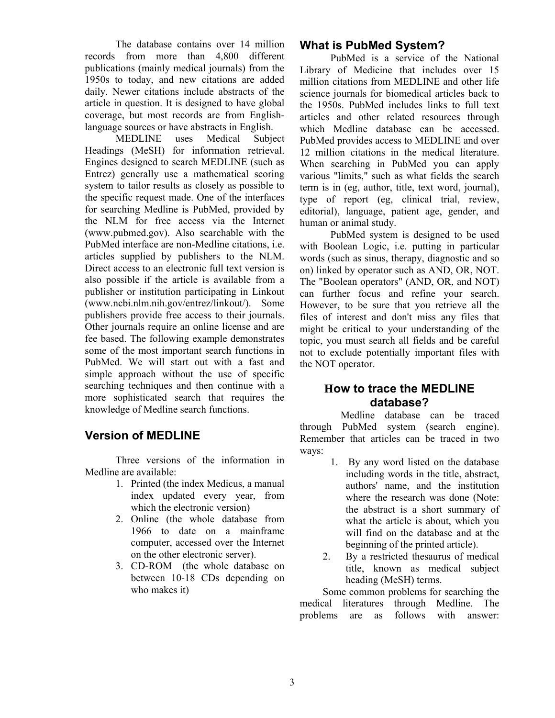The database contains over 14 million records from more than 4,800 different publications (mainly medical journals) from the 1950s to today, and new citations are added daily. Newer citations include abstracts of the article in question. It is designed to have global coverage, but most records are from Englishlanguage sources or have abstracts in English.

MEDLINE uses Medical Subject Headings (MeSH) for information retrieval. Engines designed to search MEDLINE (such as Entrez) generally use a mathematical scoring system to tailor results as closely as possible to the specific request made. One of the interfaces for searching Medline is PubMed, provided by the NLM for free access via the Internet (www.pubmed.gov). Also searchable with the PubMed interface are non-Medline citations, i.e. articles supplied by publishers to the NLM. Direct access to an electronic full text version is also possible if the article is available from a publisher or institution participating in Linkout (www.ncbi.nlm.nih.gov/entrez/linkout/). Some publishers provide free access to their journals. Other journals require an online license and are fee based. The following example demonstrates some of the most important search functions in PubMed. We will start out with a fast and simple approach without the use of specific searching techniques and then continue with a more sophisticated search that requires the knowledge of Medline search functions.

## **Version of MEDLINE**

Three versions of the information in Medline are available:

- 1. Printed (the index Medicus, a manual index updated every year, from which the electronic version)
- 2. Online (the whole database from 1966 to date on a mainframe computer, accessed over the Internet on the other electronic server).
- 3. CD-ROM (the whole database on between 10-18 CDs depending on who makes it)

## **What is PubMed System?**

PubMed is a service of the National Library of Medicine that includes over 15 million citations from MEDLINE and other life science journals for biomedical articles back to the 1950s. PubMed includes links to full text articles and other related resources through which Medline database can be accessed. PubMed provides access to MEDLINE and over 12 million citations in the medical literature. When searching in PubMed you can apply various "limits," such as what fields the search term is in (eg, author, title, text word, journal), type of report (eg, clinical trial, review, editorial), language, patient age, gender, and human or animal study.

PubMed system is designed to be used with Boolean Logic, i.e. putting in particular words (such as sinus, therapy, diagnostic and so on) linked by operator such as AND, OR, NOT. The "Boolean operators" (AND, OR, and NOT) can further focus and refine your search. However, to be sure that you retrieve all the files of interest and don't miss any files that might be critical to your understanding of the topic, you must search all fields and be careful not to exclude potentially important files with the NOT operator.

## **How to trace the MEDLINE database?**

 Medline database can be traced through PubMed system (search engine). Remember that articles can be traced in two ways:

- 1. By any word listed on the database including words in the title, abstract, authors' name, and the institution where the research was done (Note: the abstract is a short summary of what the article is about, which you will find on the database and at the beginning of the printed article).
- 2. By a restricted thesaurus of medical title, known as medical subject heading (MeSH) terms.

Some common problems for searching the medical literatures through Medline. The problems are as follows with answer: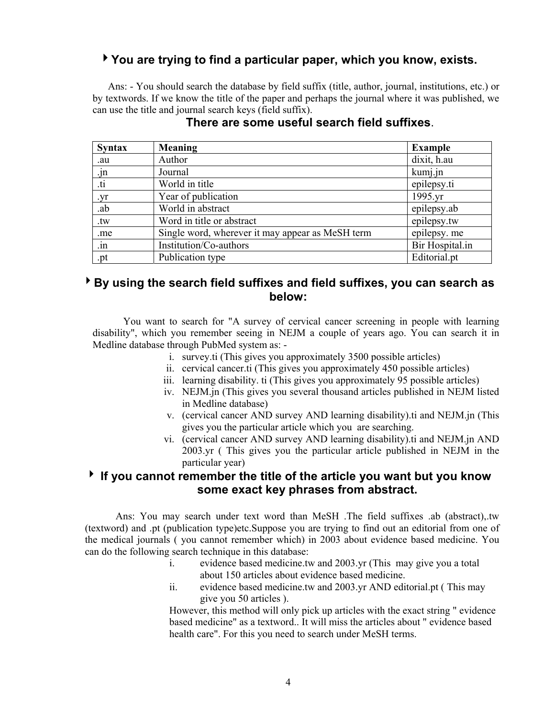## 4**You are trying to find a particular paper, which you know, exists.**

Ans: - You should search the database by field suffix (title, author, journal, institutions, etc.) or by textwords. If we know the title of the paper and perhaps the journal where it was published, we can use the title and journal search keys (field suffix).

| <b>Syntax</b>        | <b>Meaning</b>                                   | <b>Example</b>  |
|----------------------|--------------------------------------------------|-----------------|
| .au                  | Author                                           | dixit, h.au     |
| .jn                  | Journal                                          | kumj.jn         |
| $\dot{\mathfrak{u}}$ | World in title                                   | epilepsy.ti     |
| .yr                  | Year of publication                              | 1995.yr         |
| .ab                  | World in abstract                                | epilepsy.ab     |
| .tw                  | Word in title or abstract                        | epilepsy.tw     |
| .me                  | Single word, wherever it may appear as MeSH term | epilepsy. me    |
| $\cdot$ in           | Institution/Co-authors                           | Bir Hospital.in |
| .pt                  | Publication type                                 | Editorial.pt    |

### **There are some useful search field suffixes**.

## 4**By using the search field suffixes and field suffixes, you can search as below:**

You want to search for "A survey of cervical cancer screening in people with learning disability", which you remember seeing in NEJM a couple of years ago. You can search it in Medline database through PubMed system as: -

- i. survey.ti (This gives you approximately 3500 possible articles)
- ii. cervical cancer.ti (This gives you approximately 450 possible articles)
- iii. learning disability. ti (This gives you approximately 95 possible articles)
- iv. NEJM.jn (This gives you several thousand articles published in NEJM listed in Medline database)
- v. (cervical cancer AND survey AND learning disability).ti and NEJM.jn (This gives you the particular article which you are searching.
- vi. (cervical cancer AND survey AND learning disability).ti and NEJM.jn AND 2003.yr ( This gives you the particular article published in NEJM in the particular year)

## 4 **If you cannot remember the title of the article you want but you know some exact key phrases from abstract.**

Ans: You may search under text word than MeSH .The field suffixes .ab (abstract),.tw (textword) and .pt (publication type)etc.Suppose you are trying to find out an editorial from one of the medical journals ( you cannot remember which) in 2003 about evidence based medicine. You can do the following search technique in this database:

- i. evidence based medicine.tw and 2003.yr (This may give you a total about 150 articles about evidence based medicine.
- ii. evidence based medicine.tw and 2003.yr AND editorial.pt ( This may give you 50 articles ).

However, this method will only pick up articles with the exact string " evidence based medicine" as a textword.. It will miss the articles about " evidence based health care". For this you need to search under MeSH terms.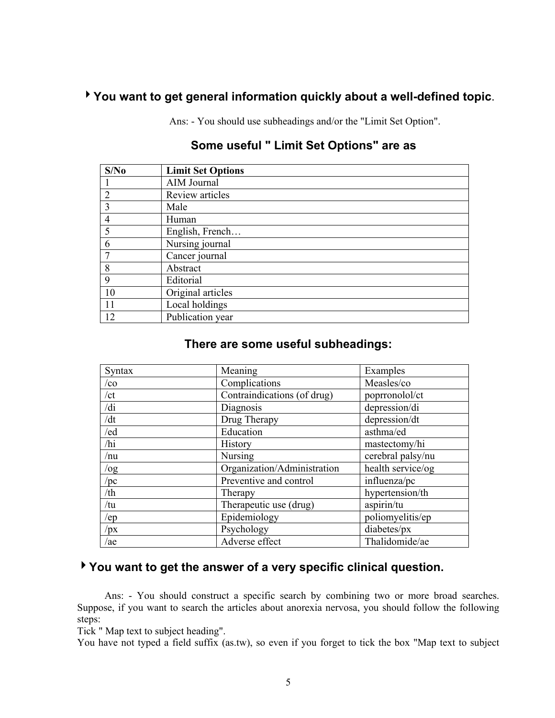## 4**You want to get general information quickly about a well-defined topic**.

Ans: - You should use subheadings and/or the "Limit Set Option".

| S/No           | <b>Limit Set Options</b> |
|----------------|--------------------------|
|                | AIM Journal              |
| $\overline{2}$ | Review articles          |
| 3              | Male                     |
| $\overline{4}$ | Human                    |
| 5              | English, French          |
| 6              | Nursing journal          |
| ┑              | Cancer journal           |
| 8              | Abstract                 |
| 9              | Editorial                |
| 10             | Original articles        |
| 11             | Local holdings           |
| 12             | Publication year         |

# **Some useful " Limit Set Options" are as**

## **There are some useful subheadings:**

| Syntax | Meaning                     | Examples          |
|--------|-----------------------------|-------------------|
| /co    | Complications               | Measles/co        |
| /ct    | Contraindications (of drug) | poprronolol/ct    |
| /di    | Diagnosis                   | depression/di     |
| /dt    | Drug Therapy                | depression/dt     |
| /ed    | Education                   | asthma/ed         |
| /hi    | <b>History</b>              | mastectomy/hi     |
| /nu    | Nursing                     | cerebral palsy/nu |
| /og    | Organization/Administration | health service/og |
| /pc    | Preventive and control      | influenza/pc      |
| /th    | Therapy                     | hypertension/th   |
| /tu    | Therapeutic use (drug)      | aspirin/tu        |
| /ep    | Epidemiology                | poliomyelitis/ep  |
| /px    | Psychology                  | diabetes/px       |
| /ae    | Adverse effect              | Thalidomide/ae    |

# 4**You want to get the answer of a very specific clinical question.**

Ans: - You should construct a specific search by combining two or more broad searches. Suppose, if you want to search the articles about anorexia nervosa, you should follow the following steps:

Tick " Map text to subject heading".

You have not typed a field suffix (as.tw), so even if you forget to tick the box "Map text to subject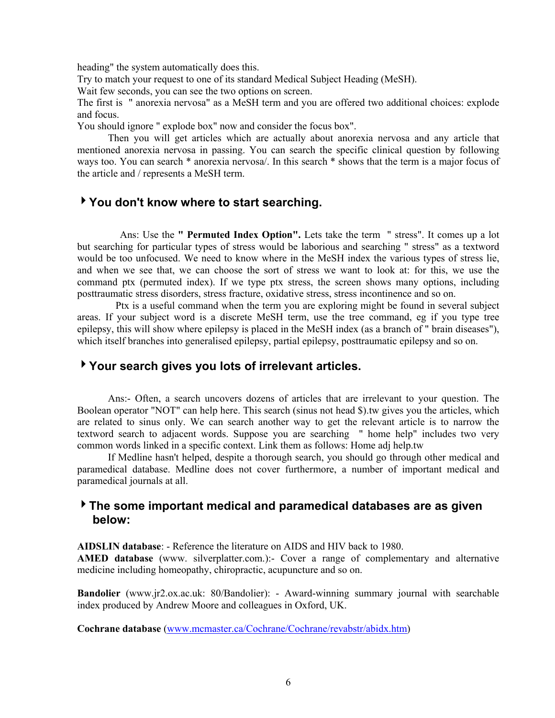heading" the system automatically does this.

Try to match your request to one of its standard Medical Subject Heading (MeSH).

Wait few seconds, you can see the two options on screen.

The first is " anorexia nervosa" as a MeSH term and you are offered two additional choices: explode and focus.

You should ignore " explode box" now and consider the focus box".

 Then you will get articles which are actually about anorexia nervosa and any article that mentioned anorexia nervosa in passing. You can search the specific clinical question by following ways too. You can search \* anorexia nervosa/. In this search \* shows that the term is a major focus of the article and / represents a MeSH term.

## 4**You don't know where to start searching.**

Ans: Use the **" Permuted Index Option".** Lets take the term " stress". It comes up a lot but searching for particular types of stress would be laborious and searching " stress" as a textword would be too unfocused. We need to know where in the MeSH index the various types of stress lie, and when we see that, we can choose the sort of stress we want to look at: for this, we use the command ptx (permuted index). If we type ptx stress, the screen shows many options, including posttraumatic stress disorders, stress fracture, oxidative stress, stress incontinence and so on.

 Ptx is a useful command when the term you are exploring might be found in several subject areas. If your subject word is a discrete MeSH term, use the tree command, eg if you type tree epilepsy, this will show where epilepsy is placed in the MeSH index (as a branch of " brain diseases"), which itself branches into generalised epilepsy, partial epilepsy, posttraumatic epilepsy and so on.

## 4**Your search gives you lots of irrelevant articles.**

 Ans:- Often, a search uncovers dozens of articles that are irrelevant to your question. The Boolean operator "NOT" can help here. This search (sinus not head \$).tw gives you the articles, which are related to sinus only. We can search another way to get the relevant article is to narrow the textword search to adjacent words. Suppose you are searching " home help" includes two very common words linked in a specific context. Link them as follows: Home adj help.tw

 If Medline hasn't helped, despite a thorough search, you should go through other medical and paramedical database. Medline does not cover furthermore, a number of important medical and paramedical journals at all.

## 4**The some important medical and paramedical databases are as given below:**

**AIDSLIN database**: - Reference the literature on AIDS and HIV back to 1980.

**AMED database** (www. silverplatter.com.):- Cover a range of complementary and alternative medicine including homeopathy, chiropractic, acupuncture and so on.

**Bandolier** (www.jr2.ox.ac.uk: 80/Bandolier): - Award-winning summary journal with searchable index produced by Andrew Moore and colleagues in Oxford, UK.

**Cochrane database** (www.mcmaster.ca/Cochrane/Cochrane/revabstr/abidx.htm)